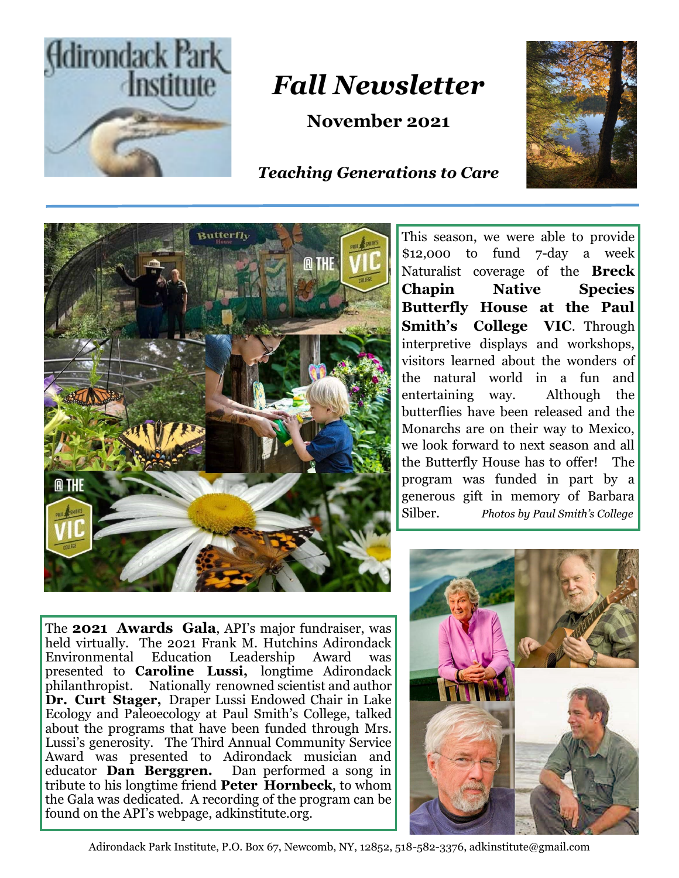

## *Fall Newsletter*

**November 2021**

## *Teaching Generations to Care*



This season, we were able to provide \$12,000 to fund 7-day a week Naturalist coverage of the **Breck Chapin Native Species Butterfly House at the Paul Smith's College VIC**. Through interpretive displays and workshops, visitors learned about the wonders of the natural world in a fun and entertaining way. Although the butterflies have been released and the Monarchs are on their way to Mexico, we look forward to next season and all the Butterfly House has to offer! The program was funded in part by a generous gift in memory of Barbara Silber. *Photos by Paul Smith's College*

The **2021 Awards Gala**, API's major fundraiser, was held virtually. The 2021 Frank M. Hutchins Adirondack Environmental Education Leadership Award was presented to **Caroline Lussi,** longtime Adirondack philanthropist.Nationally renowned scientist and author **Dr. Curt Stager,** Draper Lussi Endowed Chair in Lake Ecology and Paleoecology at Paul Smith's College, talked about the programs that have been funded through Mrs. Lussi's generosity. The Third Annual Community Service Award was presented to Adirondack musician and educator **Dan Berggren.** Dan performed a song in tribute to his longtime friend **Peter Hornbeck**, to whom the Gala was dedicated. A recording of the program can be found on the API's webpage, adkinstitute.org.